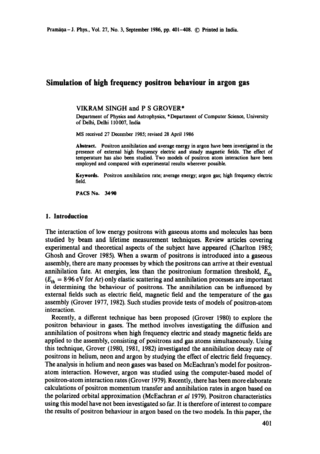# **Simulation of high frequency positron behaviour in argon gas**

### VIKRAM SINGH and P S GROVER\*

Department of Physics and Astrophysics, \*Department of Computer Science, University of Delhi, Delhi 110007, India

MS received 27 December 1985; revised 28 April 1986

Abstract. Positron annihilation and average energy in argon have been investigated in the presence of external high frequency electric and steady magnetic fields. The effect **of**  temperature has also been studied. Two models of positron atom interaction have been employed and compared with experimental results wherever possible.

**Keywords.** Positron annihilation rate; average energy; argon gas; high frequency electric field.

**PACS No. 34-90** 

#### **1. Introduction**

The interaction of low energy positrons with gaseous atoms and molecules has been studied by beam and lifetime measurement techniques. Review articles covering experimental and theoretical aspects of the subject have appeared (Charlton 1985; Ghosh and Grover 1985). When a swarm of positrons is introduced into a gaseous assembly, there are many processes by which the positrons can arrive at their eventual annihilation fate. At energies, less than the positronium formation threshold,  $E_{th}$  $(E<sub>th</sub> = 8.96$  eV for Ar) only elastic scattering and annihilation processes are important in determining the behaviour of positrons. The annihilation can be influenced by external fields such as electric field, magnetic field and the temperature of the gas assembly (Grover 1977, 1982). Such studies provide tests of models of positron-atom interaction.

Recently, a different technique has been proposed (Grover 1980) to explore the positron behaviour in gases. The method involves investigating the diffusion and annihilation of positrons when high frequency electric and steady magnetic fields are applied to the assembly, consisting of positrons and gas atoms simultaneously. Using this technique, Grover (1980, 1981, 1982) investigated the annihilation decay rate of positrons in helium, neon and argon by studying the effect of electric field frequency. The analysis in helium and neon gases was based on McEachran's model for positronatom interaction. However, argon was studied using the computer-based model of positron-atom interaction rates (Grover 1979). Recently, there has been more elaborate calculations of positron momentum transfer and annihilation rates in argon based on the polarized orbital approximation (McEachran *et al* 1979). Positron characteristics using this model have not been investigated so far. It is therefore of interest to compare the results of positron behaviour in argon based on the two models. In this paper, the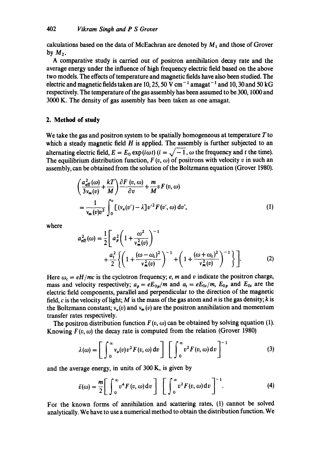calculations based on the data of McEachran are denoted by  $M_1$  and those of Grover by  $M_2$ .

A comparative study is carried out of positron annihilation decay rate and the average energy under the influence of high frequency electric field based on the above two models. The effects of temperature and magnetic fields have also been studied. The electric and magnetic fields taken are 10, 25, 50 V cm<sup>-1</sup> amagat<sup>-1</sup> and 10, 30 and 50 kG respectively. The temperature of the gas assembly has been assumed to be 300, 1000 and 3000 K. The density of gas assembly has been taken as one amagat.

### **2. Method of study**

We take the gas and positron system to be spatially homogeneous at temperature  $T$  to which a steady magnetic field  $H$  is applied. The assembly is further subjected to an alternating electric field,  $E = E_0 \exp(i\omega t)$   $(i = \sqrt{-1}, \omega$  the frequency and t the time). The equilibrium distribution function,  $F(v, \omega)$  of positrons with velocity v in such an assembly, can be obtained from the solution of the Boltzmann equation (Grover 1980).

$$
\left(\frac{a_{\text{eff}}^2(\omega)}{3v_m(v)} + \frac{kT}{M}\right)\frac{\partial F(v,\omega)}{\partial v} + \frac{m}{M}vF(v,\omega)
$$
  
= 
$$
\frac{1}{v_m(v)v^2}\int_0^v \left[(v_a(v') - \lambda\right]v'^2F(v',\omega)\,dv',\right)
$$
 (1)

where  

$$
a_{\text{eff}}^2(\omega) = \frac{1}{2} \left[ a_p^2 \left( 1 + \frac{\omega^2}{v_m^2(v)} \right)^{-1} + \frac{a_t^2}{2} \left\{ \left( 1 + \frac{(\omega - \omega_c)^2}{v_m^2(v)} \right)^{-1} + \left( 1 + \frac{(\omega + \omega_c)^2}{v_m^2(v)} \right)^{-1} \right\} \right].
$$
(2)

Here  $\omega_c = eH/mc$  is the cyclotron frequency; e, m and v indicate the positron charge, mass and velocity respectively;  $a_p = eE_{0p}/m$  and  $a_t = eE_{0t}/m$ ,  $E_{0p}$  and  $E_{0t}$  are the electric field components, parallel and perpendicular to the direction of the magnetic field, c is the velocity of light; M is the mass of the gas atom and n is the gas density; k is the Boltzmann constant;  $v_a(v)$  and  $v_m(v)$  are the positron annihilation and momentum transfer rates respectively.

The positron distribution function  $F(v, \omega)$  can be obtained by solving equation (1). Knowing  $F(v, \omega)$  the decay rate is computed from the relation (Grover 1980)

$$
\lambda(\omega) = \left[ \int_0^\infty v_a(v) v^2 F(v, \omega) dv \right] \left[ \int_0^\infty v^2 F(v, \omega) dv \right]^{-1} \tag{3}
$$

and the average energy, in units of 300 K, is given by

$$
\bar{\varepsilon}(\omega) = \frac{m}{2} \Bigg[ \int_0^\infty v^4 F(v, \omega) dv \Bigg] \Bigg[ \int_0^\infty v^2 F(v, \omega) dv \Bigg]^{-1} . \tag{4}
$$

For the known forms of annihilation and scattering rates, (1) cannot be solved analytically. We have to use a numerical method to obtain the distribution function. We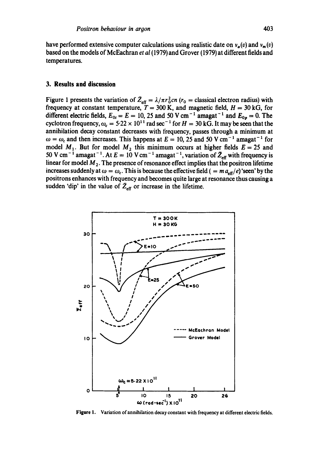have performed extensive computer calculations using realistic date on  $v_a(v)$  and  $v_m(v)$ based on the models of McEachran *et al* (1979) and Grover (1979) at different fields and temperatures.

#### **3. Results and discussion**

Figure 1 presents the variation of  $\bar{Z}_{\text{eff}} = \lambda/\pi r_0^2 c n$  ( $r_0$  = classical electron radius) with frequency at constant temperature,  $T = 300$  K, and magnetic field,  $H = 30$  kG, for different electric fields,  $E_{0t} = E = 10$ , 25 and 50 V cm<sup>-1</sup> amagat<sup>-1</sup> and  $E_{0p} = 0$ . The cyclotron frequency,  $\omega_c = 5.22 \times 10^{11}$  rad sec<sup>-1</sup> for  $H = 30$  kG. It may be seen that the annihilation decay constant decreases with frequency, passes through a minimum at  $\omega = \omega_c$  and then increases. This happens at  $E = 10, 25$  and 50 V cm<sup>-1</sup> amagat<sup>-1</sup> for model M<sub>1</sub>. But for model M<sub>2</sub> this minimum occurs at higher fields  $E = 25$  and 50 V cm<sup>-1</sup> amagat<sup>-1</sup>. At  $E = 10$  V cm<sup>-1</sup> amagat<sup>-1</sup>, variation of  $Z_{\text{eff}}$  with frequency is linear for model  $M<sub>2</sub>$ . The presence of resonance effect implies that the positron lifetime increases suddenly at  $\omega = \omega_c$ . This is because the effective field  $( = m a_{\text{eff}}/e )$  'seen' by the positrons enhances with frequency and becomes quite large at resonance thus causing a sudden 'dip' in the value of  $\bar{Z}_{\text{eff}}$  or increase in the lifetime.



Figure 1. Variation of annihilation decay constant with frequency at different electric fields.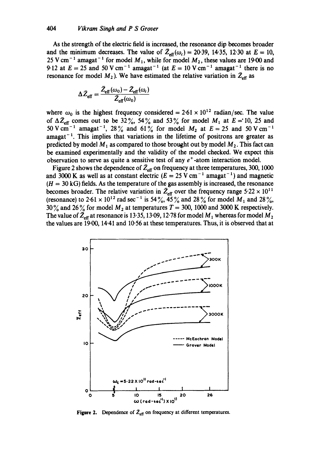As the strength of the electric field is increased, the resonance dip becomes broader and the minimum decreases. The value of  $\bar{Z}_{\text{eff}}(\omega_c) = 20.39$ , 14.35, 12.30 at  $E = 10$ , 25 V cm<sup>-1</sup> amagat<sup>-1</sup> for model  $M_1$ , while for model  $M_2$ , these values are 19.00 and 9.12 at  $E = 25$  and 50 V cm<sup>-1</sup> amagat<sup>-1</sup> (at  $E = 10$  V cm<sup>-1</sup> amagat<sup>-1</sup> there is no resonance for model  $M_2$ ). We have estimated the relative variation in  $\bar{Z}_{\text{eff}}$  as

$$
\Delta \bar{Z}_{\text{eff}} = \frac{\bar{Z}_{\text{eff}}(\omega_0) - \bar{Z}_{\text{eff}}(\omega_0)}{\bar{Z}_{\text{eff}}(\omega_0)}
$$

where  $\omega_0$  is the highest frequency considered = 2.61 x 10<sup>12</sup> radian/sec. The value of  $\Delta \bar{Z}_{\text{eff}}$  comes out to be 32%, 54% and 53% for model  $M_1$  at  $E = 10$ , 25 and 50 V cm<sup>-1</sup> amagat<sup>-1</sup>, 28% and 61% for model  $M_2$  at  $E = 25$  and 50 V cm<sup>-1</sup> amagat<sup> $-1$ </sup>. This implies that variations in the lifetime of positrons are greater as predicted by model  $M_1$  as compared to those brought out by model  $M_2$ . This fact can be examined experimentally and the validity of the model checked. We expect this observation to serve as quite a sensitive test of any  $e^+$ -atom interaction model.

Figure 2 shows the dependence of  $\bar{Z}_{\text{eff}}$  on frequency at three temperatures, 300, 1000 and 3000 K as well as at constant electric  $(E = 25 \text{ V cm}^{-1} \text{ amagat}^{-1})$  and magnetic  $(H = 30 \text{ kG})$  fields. As the temperature of the gas assembly is increased, the resonance becomes broader. The relative variation in  $\bar{Z}_{\text{eff}}$  over the frequency range 5.22  $\times$  10<sup>11</sup> (resonance) to  $2.61 \times 10^{12}$  rad sec<sup>-1</sup> is  $54\%$ ,  $45\%$  and  $28\%$  for model  $M_1$  and  $28\%$ , 30% and 26% for model  $M_2$  at temperatures  $T = 300$ , 1000 and 3000 K respectively. The value of  $\bar{Z}_{\text{eff}}$  at resonance is 13-35, 13-09, 12-78 for model  $M_1$  whereas for model  $M_2$ the values are 19-00, 14.41 and 10.56 at these temperatures. Thus, it is observed that at



Figure 2. Dependence of  $\bar{Z}_{\text{eff}}$  on frequency at different temperatures.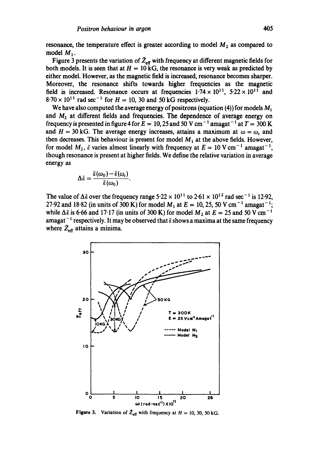resonance, the temperature effect is greater according to model  $M_2$  as compared to model  $M_1$ .

Figure 3 presents the variation of  $\bar{Z}_{\text{eff}}$  with frequency at different magnetic fields for both models. It is seen that at  $H = 10 \text{ kG}$ , the resonance is very weak as predicted by either model. However, as the magnetic field is increased, resonance becomes sharper. Moreover, the resonance shifts towards higher frequencies as the magnetic field is increased. Resonance occurs at frequencies  $1.74 \times 10^{11}$ ,  $5.22 \times 10^{11}$  and  $8.70 \times 10^{11}$  rad sec<sup>-1</sup> for  $H = 10$ , 30 and 50 kG respectively.

We have also computed the average energy of positrons (equation (4)) for models  $M_1$ and  $M<sub>2</sub>$  at different fields and frequencies. The dependence of average energy on frequency is presented in figure 4 for  $E = 10, 25$  and 50 V cm<sup>-1</sup> amagat<sup>-1</sup> at  $T = 300$  K and  $H = 30$  kG. The average energy increases, attains a maximum at  $\omega = \omega_c$  and then decreases. This behaviour is present for model  $M_1$  at the above fields. However, for model  $M_2$ ,  $\tilde{\varepsilon}$  varies almost linearly with frequency at  $E = 10$  V cm<sup>-1</sup> amagat<sup>-1</sup>, though resonance is present at higher fields. We define the relative variation in average energy as

$$
\Delta \bar{\varepsilon} = \frac{\bar{\varepsilon}(\omega_0) - \bar{\varepsilon}(\omega_{\rm c})}{\bar{\varepsilon}(\omega_0)}.
$$

The value of  $\Delta \bar{\epsilon}$  over the frequency range 5.22  $\times$  10<sup>11</sup> to 2.61  $\times$  10<sup>12</sup> rad sec<sup>-1</sup> is 12.92, 27.92 and 18.82 (in units of 300 K) for model  $M_1$  at  $E = 10, 25, 50$  V cm<sup>-1</sup> amagat<sup>-1</sup>; while  $\Delta \bar{\epsilon}$  is 6.66 and 17.17 (in units of 300 K) for model  $M_2$  at  $E = 25$  and 50 V cm<sup>-1</sup> amagat<sup>-1</sup> respectively. It may be observed that  $\bar{\epsilon}$  shows a maxima at the same frequency where  $\bar{Z}_{\text{eff}}$  attains a minima.



**Figure 3.** Variation of  $Z_{\text{eff}}$  with frequency at  $H = 10, 30, 50$  kG.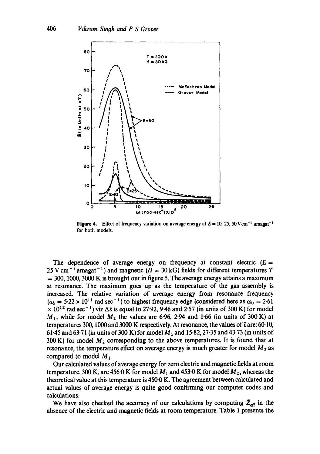

Figure 4. Effect of frequency variation on average energy at  $E = 10$ , 25, 50 V cm<sup>-1</sup> amagat<sup>-1</sup> for both models.

The dependence of average energy on frequency at constant electric  $(E =$ 25 V cm<sup>-1</sup> amagat<sup>-1</sup>) and magnetic ( $H = 30$  kG) fields for different temperatures T  $= 300, 1000, 3000$  K is brought out in figure 5. The average energy attains a maximum at resonance. The maximum goes up as the temperature of the gas assembly is increased. The relative variation of average energy from resonance frequency  $(\omega_c = 5.22 \times 10^{11} \text{ rad sec}^{-1})$  to highest frequency edge (considered here as  $\omega_0 = 2.61$ )  $\times$  10<sup>12</sup> rad sec<sup>-1</sup>) viz  $\Delta \bar{\epsilon}$  is equal to 27.92, 9.46 and 2.57 (in units of 300 K) for model  $M_1$ , while for model  $M_2$  the values are 6.96, 2.94 and 1.66 (in units of 300 K) at temperatures 300, 1000 and 3000 K respectively. At resonance, the values of  $\bar{\epsilon}$  are: 60-10, 61.45 and 63.71 (in units of 300 K) for model  $M_1$  and 15.82, 27.35 and 43.73 (in units of 300 K) for model  $M_2$  corresponding to the above temperatures. It is found that at resonance, the temperature effect on average energy is much greater for model  $M_2$  as compared to model  $M_1$ .

Our calculated values of average energy for zero electric and magnetic fields at room temperature, 300 K, are 456.0 K for model  $M_1$  and 453.0 K for model  $M_2$ , whereas the theoretical value at this temperature is 450.0 K. The agreement between calculated and actual values of average energy is quite good confirming our computer codes and calculations.

We have also checked the accuracy of our calculations by computing  $\bar{Z}_{\text{eff}}$  in the absence of the electric and magnetic fields at room temperature. Table 1 presents the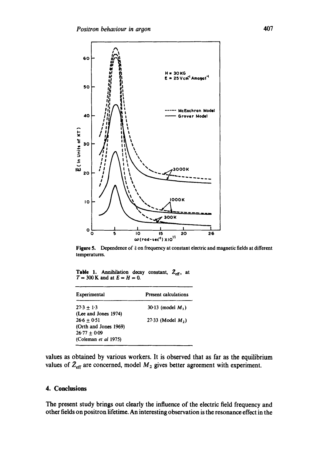

Figure 5. Dependence of  $\tilde{\epsilon}$  on frequency at constant electric and magnetic fields at different temperatures.

**Table 1.** Annihilation decay constant,  $Z_{\text{eff}}$ , at  $T = 300$  K and at  $E = H = 0$ .

| Experimental          | <b>Present calculations</b> |
|-----------------------|-----------------------------|
| $27.3 + 1.3$          | 30.13 (model $M_1$ )        |
| (Lee and Jones 1974)  |                             |
| $26.6 + 0.51$         | 27.33 (Model $M_2$ )        |
| (Orth and Jones 1969) |                             |
| $26-77 + 0-09$        |                             |
| (Coleman et al 1975)  |                             |
|                       |                             |

values as obtained by various workers. It is observed that as far as the equilibrium values of  $\bar{Z}_{\text{eff}}$  are concerned, model  $M_2$  gives better agreement with experiment.

# **4. Conclusions**

**The present study brings out clearly the influence of the electric field frequency and other fields on positron lifetime. An interesting observation is the resonance effect in the**